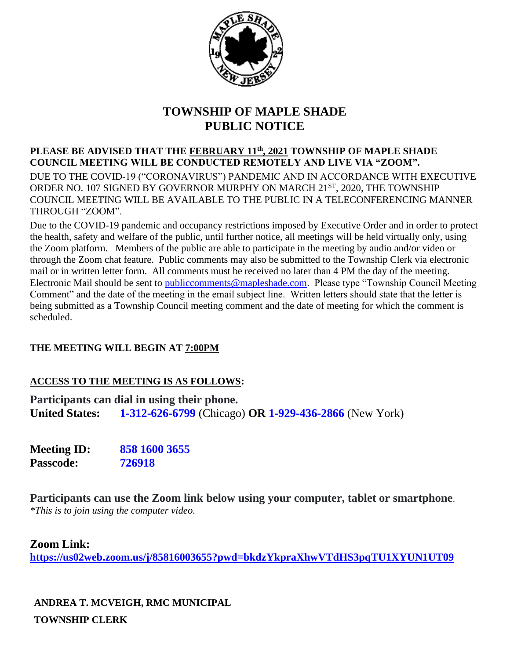

## **TOWNSHIP OF MAPLE SHADE PUBLIC NOTICE**

**PLEASE BE ADVISED THAT THE FEBRUARY 11th, 2021 TOWNSHIP OF MAPLE SHADE COUNCIL MEETING WILL BE CONDUCTED REMOTELY AND LIVE VIA "ZOOM".**  DUE TO THE COVID-19 ("CORONAVIRUS") PANDEMIC AND IN ACCORDANCE WITH EXECUTIVE ORDER NO. 107 SIGNED BY GOVERNOR MURPHY ON MARCH 21ST, 2020, THE TOWNSHIP COUNCIL MEETING WILL BE AVAILABLE TO THE PUBLIC IN A TELECONFERENCING MANNER THROUGH "ZOOM".

Due to the COVID-19 pandemic and occupancy restrictions imposed by Executive Order and in order to protect the health, safety and welfare of the public, until further notice, all meetings will be held virtually only, using the Zoom platform. Members of the public are able to participate in the meeting by audio and/or video or through the Zoom chat feature. Public comments may also be submitted to the Township Clerk via electronic mail or in written letter form. All comments must be received no later than 4 PM the day of the meeting. Electronic Mail should be sent to [publiccomments@mapleshade.com.](mailto:publiccomments@mapleshade.com) Please type "Township Council Meeting Comment" and the date of the meeting in the email subject line. Written letters should state that the letter is being submitted as a Township Council meeting comment and the date of meeting for which the comment is scheduled.

### **THE MEETING WILL BEGIN AT 7:00PM**

### **ACCESS TO THE MEETING IS AS FOLLOWS:**

**Participants can dial in using their phone. United States: 1-312-626-6799** (Chicago) **OR 1-929-436-2866** (New York)

**Meeting ID: 858 1600 3655 Passcode: 726918**

**Participants can use the Zoom link below using your computer, tablet or smartphone**. *\*This is to join using the computer video.*

**Zoom Link:**

**<https://us02web.zoom.us/j/85816003655?pwd=bkdzYkpraXhwVTdHS3pqTU1XYUN1UT09>**

**ANDREA T. MCVEIGH, RMC MUNICIPAL TOWNSHIP CLERK**